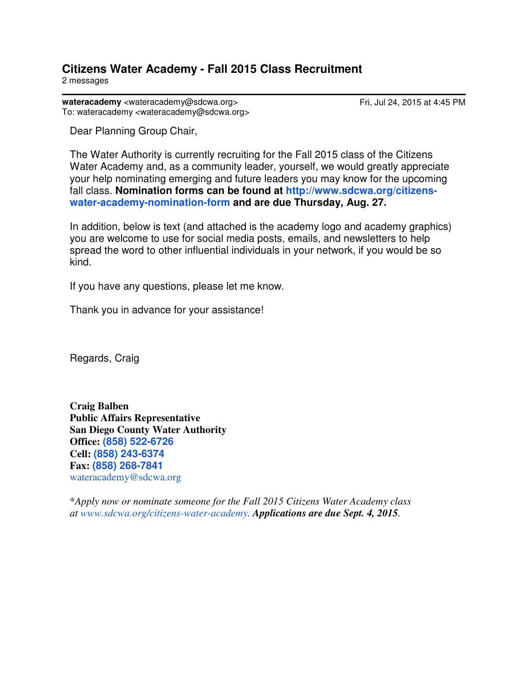## **Citizens Water Academy - Fall 2015 Class Recruitment** 2 messages

wateracademy <wateracademy@sdcwa.org>
Herita Care Fri, Jul 24, 2015 at 4:45 PM To: wateracademy <wateracademy@sdcwa.org>

Dear Planning Group Chair,

The Water Authority is currently recruiting for the Fall 2015 class of the Citizens Water Academy and, as a community leader, yourself, we would greatly appreciate your help nominating emerging and future leaders you may know for the upcoming fall class. **Nomination forms can be found at http://www.sdcwa.org/citizenswater-academy-nomination-form and are due Thursday, Aug. 27.** 

In addition, below is text (and attached is the academy logo and academy graphics) you are welcome to use for social media posts, emails, and newsletters to help spread the word to other influential individuals in your network, if you would be so kind.

If you have any questions, please let me know.

Thank you in advance for your assistance!

Regards, Craig

**Craig Balben Public Affairs Representative San Diego County Water Authority Office: (858) 522-6726 Cell: (858) 243-6374 Fax: (858) 268-7841** wateracademy@sdcwa.org

\**Apply now or nominate someone for the Fall 2015 Citizens Water Academy class at www.sdcwa.org/citizens-water-academy. Applications are due Sept. 4, 2015.*